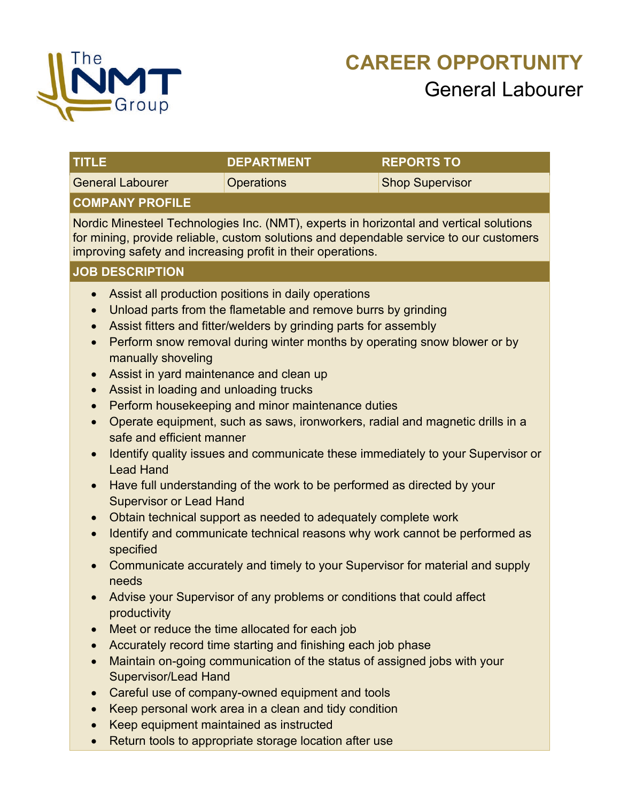

| UU LE                                                                                                                                                                                                           | UEFARI MENI                                                                                                                                                                                                                                                                                                                                                                                                | REFURIS IU                                                                                                                                                                       |  |  |
|-----------------------------------------------------------------------------------------------------------------------------------------------------------------------------------------------------------------|------------------------------------------------------------------------------------------------------------------------------------------------------------------------------------------------------------------------------------------------------------------------------------------------------------------------------------------------------------------------------------------------------------|----------------------------------------------------------------------------------------------------------------------------------------------------------------------------------|--|--|
| <b>General Labourer</b>                                                                                                                                                                                         | <b>Operations</b>                                                                                                                                                                                                                                                                                                                                                                                          | <b>Shop Supervisor</b>                                                                                                                                                           |  |  |
| <b>COMPANY PROFILE</b>                                                                                                                                                                                          |                                                                                                                                                                                                                                                                                                                                                                                                            |                                                                                                                                                                                  |  |  |
|                                                                                                                                                                                                                 | improving safety and increasing profit in their operations.                                                                                                                                                                                                                                                                                                                                                | Nordic Minesteel Technologies Inc. (NMT), experts in horizontal and vertical solutions<br>for mining, provide reliable, custom solutions and dependable service to our customers |  |  |
| <b>JOB DESCRIPTION</b>                                                                                                                                                                                          |                                                                                                                                                                                                                                                                                                                                                                                                            |                                                                                                                                                                                  |  |  |
| $\bullet$<br>$\bullet$<br>$\bullet$<br>$\bullet$<br>manually shoveling<br>Assist in yard maintenance and clean up<br>$\bullet$<br>Assist in loading and unloading trucks<br>$\bullet$<br>$\bullet$<br>$\bullet$ | Assist all production positions in daily operations<br>Unload parts from the flametable and remove burrs by grinding<br>Assist fitters and fitter/welders by grinding parts for assembly<br>Perform snow removal during winter months by operating snow blower or by<br>Perform housekeeping and minor maintenance duties<br>Operate equipment, such as saws, ironworkers, radial and magnetic drills in a |                                                                                                                                                                                  |  |  |
| safe and efficient manner<br>$\bullet$<br><b>Lead Hand</b>                                                                                                                                                      |                                                                                                                                                                                                                                                                                                                                                                                                            | Identify quality issues and communicate these immediately to your Supervisor or                                                                                                  |  |  |
| Have full understanding of the work to be performed as directed by your<br>$\bullet$<br><b>Supervisor or Lead Hand</b>                                                                                          |                                                                                                                                                                                                                                                                                                                                                                                                            |                                                                                                                                                                                  |  |  |
| Obtain technical support as needed to adequately complete work<br>$\bullet$                                                                                                                                     |                                                                                                                                                                                                                                                                                                                                                                                                            |                                                                                                                                                                                  |  |  |
| Identify and communicate technical reasons why work cannot be performed as<br>$\bullet$<br>specified                                                                                                            |                                                                                                                                                                                                                                                                                                                                                                                                            |                                                                                                                                                                                  |  |  |
| $\bullet$<br>needs                                                                                                                                                                                              | Communicate accurately and timely to your Supervisor for material and supply                                                                                                                                                                                                                                                                                                                               |                                                                                                                                                                                  |  |  |
| $\bullet$<br>productivity                                                                                                                                                                                       | Advise your Supervisor of any problems or conditions that could affect                                                                                                                                                                                                                                                                                                                                     |                                                                                                                                                                                  |  |  |
|                                                                                                                                                                                                                 |                                                                                                                                                                                                                                                                                                                                                                                                            |                                                                                                                                                                                  |  |  |
| $\bullet$<br><b>Supervisor/Lead Hand</b>                                                                                                                                                                        | Maintain on-going communication of the status of assigned jobs with your                                                                                                                                                                                                                                                                                                                                   |                                                                                                                                                                                  |  |  |
| $\bullet$                                                                                                                                                                                                       | Careful use of company-owned equipment and tools                                                                                                                                                                                                                                                                                                                                                           |                                                                                                                                                                                  |  |  |
| Keep personal work area in a clean and tidy condition                                                                                                                                                           |                                                                                                                                                                                                                                                                                                                                                                                                            |                                                                                                                                                                                  |  |  |
| Keep equipment maintained as instructed<br>Return tools to appropriate storage location after use                                                                                                               |                                                                                                                                                                                                                                                                                                                                                                                                            |                                                                                                                                                                                  |  |  |
|                                                                                                                                                                                                                 | Meet or reduce the time allocated for each job<br>Accurately record time starting and finishing each job phase                                                                                                                                                                                                                                                                                             |                                                                                                                                                                                  |  |  |

**TITLE DEPARTMENT REPORTS TO**